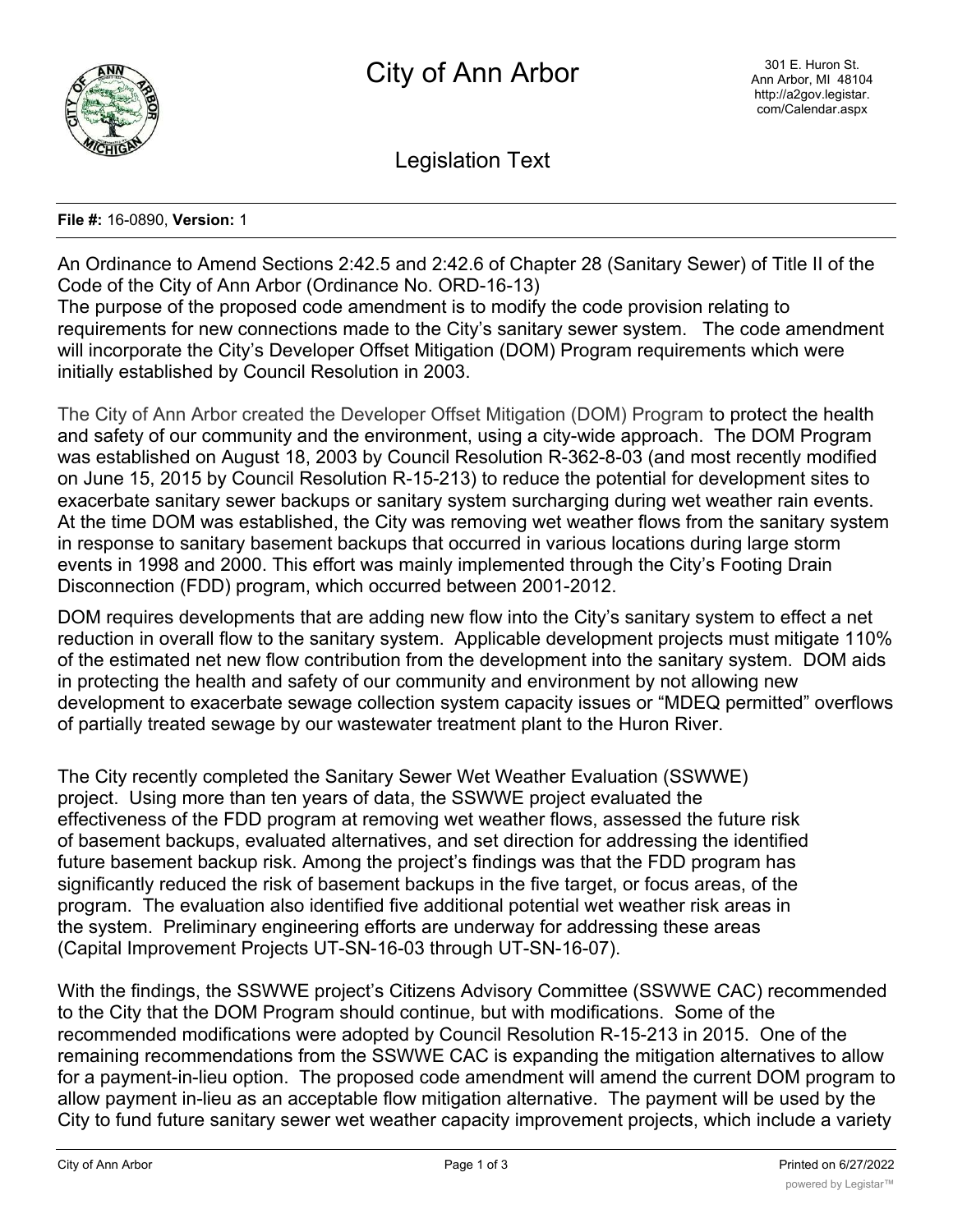

Legislation Text

## **File #:** 16-0890, **Version:** 1

An Ordinance to Amend Sections 2:42.5 and 2:42.6 of Chapter 28 (Sanitary Sewer) of Title II of the Code of the City of Ann Arbor (Ordinance No. ORD-16-13)

The purpose of the proposed code amendment is to modify the code provision relating to requirements for new connections made to the City's sanitary sewer system. The code amendment will incorporate the City's Developer Offset Mitigation (DOM) Program requirements which were initially established by Council Resolution in 2003.

The City of Ann Arbor created the Developer Offset Mitigation (DOM) Program to protect the health and safety of our community and the environment, using a city-wide approach. The DOM Program was established on August 18, 2003 by Council Resolution R-362-8-03 (and most recently modified on June 15, 2015 by Council Resolution R-15-213) to reduce the potential for development sites to exacerbate sanitary sewer backups or sanitary system surcharging during wet weather rain events. At the time DOM was established, the City was removing wet weather flows from the sanitary system in response to sanitary basement backups that occurred in various locations during large storm events in 1998 and 2000. This effort was mainly implemented through the City's Footing Drain Disconnection (FDD) program, which occurred between 2001-2012.

DOM requires developments that are adding new flow into the City's sanitary system to effect a net reduction in overall flow to the sanitary system. Applicable development projects must mitigate 110% of the estimated net new flow contribution from the development into the sanitary system. DOM aids in protecting the health and safety of our community and environment by not allowing new development to exacerbate sewage collection system capacity issues or "MDEQ permitted" overflows of partially treated sewage by our wastewater treatment plant to the Huron River.

The City recently completed the Sanitary Sewer Wet Weather Evaluation (SSWWE) project. Using more than ten years of data, the SSWWE project evaluated the effectiveness of the FDD program at removing wet weather flows, assessed the future risk of basement backups, evaluated alternatives, and set direction for addressing the identified future basement backup risk. Among the project's findings was that the FDD program has significantly reduced the risk of basement backups in the five target, or focus areas, of the program. The evaluation also identified five additional potential wet weather risk areas in the system. Preliminary engineering efforts are underway for addressing these areas (Capital Improvement Projects UT-SN-16-03 through UT-SN-16-07).

With the findings, the SSWWE project's Citizens Advisory Committee (SSWWE CAC) recommended to the City that the DOM Program should continue, but with modifications. Some of the recommended modifications were adopted by Council Resolution R-15-213 in 2015. One of the remaining recommendations from the SSWWE CAC is expanding the mitigation alternatives to allow for a payment-in-lieu option. The proposed code amendment will amend the current DOM program to allow payment in-lieu as an acceptable flow mitigation alternative. The payment will be used by the City to fund future sanitary sewer wet weather capacity improvement projects, which include a variety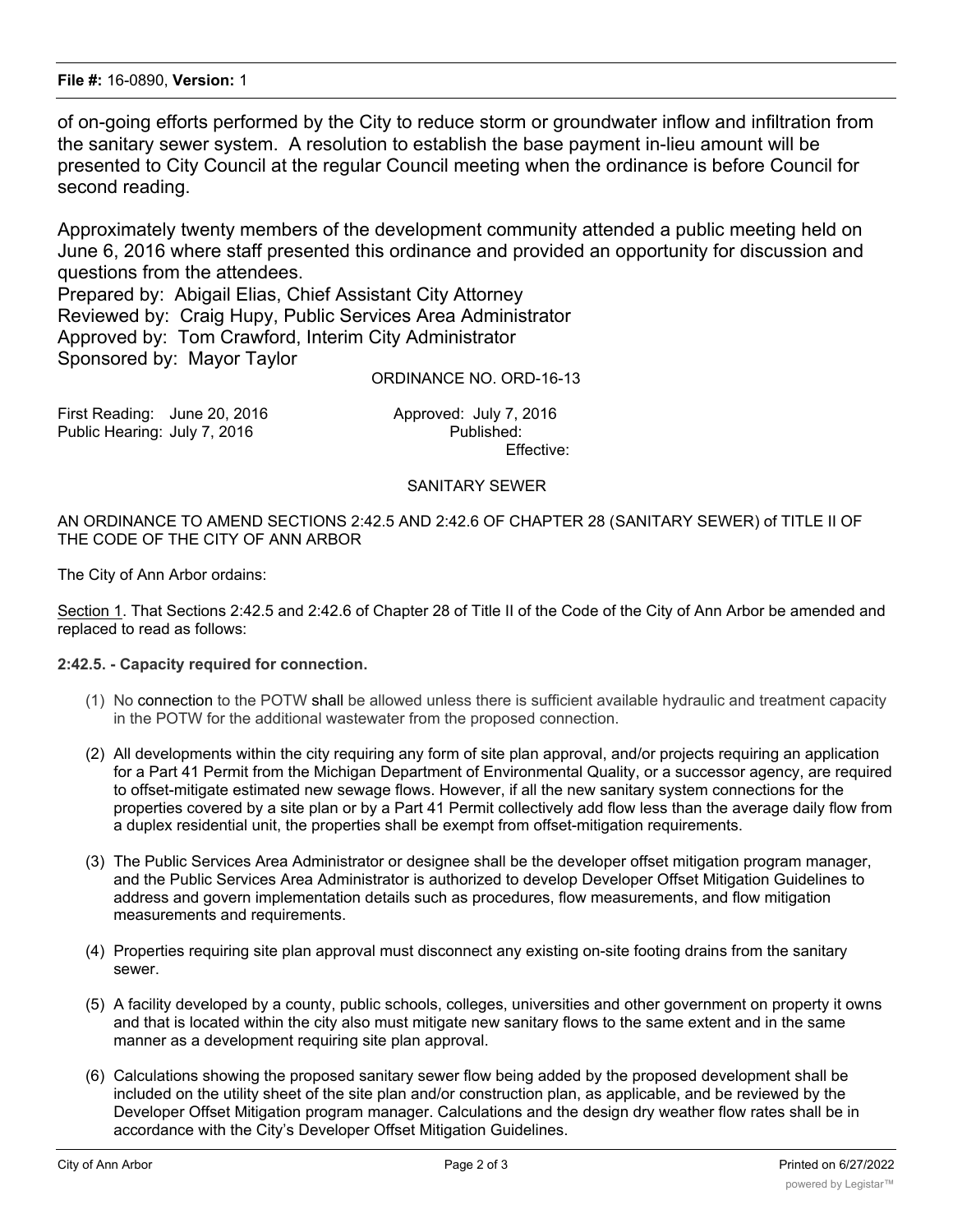of on-going efforts performed by the City to reduce storm or groundwater inflow and infiltration from the sanitary sewer system. A resolution to establish the base payment in-lieu amount will be presented to City Council at the regular Council meeting when the ordinance is before Council for second reading.

Approximately twenty members of the development community attended a public meeting held on June 6, 2016 where staff presented this ordinance and provided an opportunity for discussion and questions from the attendees.

Prepared by: Abigail Elias, Chief Assistant City Attorney Reviewed by: Craig Hupy, Public Services Area Administrator Approved by: Tom Crawford, Interim City Administrator Sponsored by: Mayor Taylor

ORDINANCE NO. ORD-16-13

First Reading: June 20, 2016 **All Election Approved: July 7, 2016** Public Hearing: July 7, 2016 **Published:** 

Effective:

## SANITARY SEWER

AN ORDINANCE TO AMEND SECTIONS 2:42.5 AND 2:42.6 OF CHAPTER 28 (SANITARY SEWER) of TITLE II OF THE CODE OF THE CITY OF ANN ARBOR

The City of Ann Arbor ordains:

Section 1. That Sections 2:42.5 and 2:42.6 of Chapter 28 of Title II of the Code of the City of Ann Arbor be amended and replaced to read as follows:

## **2:42.5. - Capacity required for connection.**

- (1) No connection to the POTW shall be allowed unless there is sufficient available hydraulic and treatment capacity in the POTW for the additional wastewater from the proposed connection.
- (2) All developments within the city requiring any form of site plan approval, and/or projects requiring an application for a Part 41 Permit from the Michigan Department of Environmental Quality, or a successor agency, are required to offset-mitigate estimated new sewage flows. However, if all the new sanitary system connections for the properties covered by a site plan or by a Part 41 Permit collectively add flow less than the average daily flow from a duplex residential unit, the properties shall be exempt from offset-mitigation requirements.
- (3) The Public Services Area Administrator or designee shall be the developer offset mitigation program manager, and the Public Services Area Administrator is authorized to develop Developer Offset Mitigation Guidelines to address and govern implementation details such as procedures, flow measurements, and flow mitigation measurements and requirements.
- (4) Properties requiring site plan approval must disconnect any existing on-site footing drains from the sanitary sewer.
- (5) A facility developed by a county, public schools, colleges, universities and other government on property it owns and that is located within the city also must mitigate new sanitary flows to the same extent and in the same manner as a development requiring site plan approval.
- (6) Calculations showing the proposed sanitary sewer flow being added by the proposed development shall be included on the utility sheet of the site plan and/or construction plan, as applicable, and be reviewed by the Developer Offset Mitigation program manager. Calculations and the design dry weather flow rates shall be in accordance with the City's Developer Offset Mitigation Guidelines.